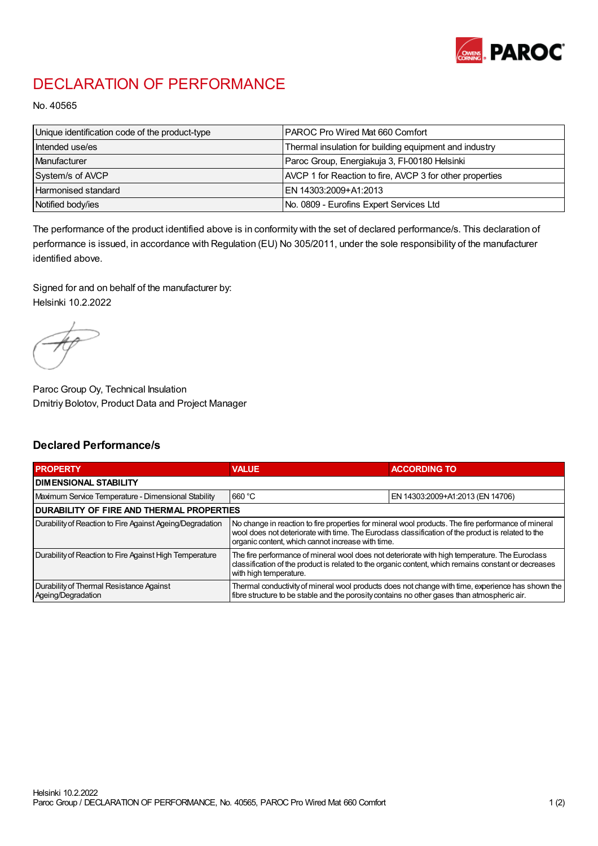

## DECLARATION OF PERFORMANCE

No. 40565

| Unique identification code of the product-type | <b>PAROC Pro Wired Mat 660 Comfort</b>                   |
|------------------------------------------------|----------------------------------------------------------|
| Intended use/es                                | Thermal insulation for building equipment and industry   |
| Manufacturer                                   | Paroc Group, Energiakuja 3, FI-00180 Helsinki            |
| System/s of AVCP                               | AVCP 1 for Reaction to fire, AVCP 3 for other properties |
| Harmonised standard                            | IEN 14303:2009+A1:2013                                   |
| Notified body/ies                              | No. 0809 - Eurofins Expert Services Ltd                  |

The performance of the product identified above is in conformity with the set of declared performance/s. This declaration of performance is issued, in accordance with Regulation (EU) No 305/2011, under the sole responsibility of the manufacturer identified above.

Signed for and on behalf of the manufacturer by: Helsinki 10.2.2022

Paroc Group Oy, Technical Insulation Dmitriy Bolotov, Product Data and Project Manager

## Declared Performance/s

| <b>PROPERTY</b>                                                | <b>VALUE</b>                                                                                                                                                                                                                                                   | <b>ACCORDING TO.</b>             |  |
|----------------------------------------------------------------|----------------------------------------------------------------------------------------------------------------------------------------------------------------------------------------------------------------------------------------------------------------|----------------------------------|--|
| <b>DIMENSIONAL STABILITY</b>                                   |                                                                                                                                                                                                                                                                |                                  |  |
| Maximum Service Temperature - Dimensional Stability            | 660 °C                                                                                                                                                                                                                                                         | EN 14303:2009+A1:2013 (EN 14706) |  |
| <b>DURABILITY OF FIRE AND THERMAL PROPERTIES</b>               |                                                                                                                                                                                                                                                                |                                  |  |
| Durability of Reaction to Fire Against Ageing/Degradation      | No change in reaction to fire properties for mineral wool products. The fire performance of mineral<br>wool does not deteriorate with time. The Euroclass classification of the product is related to the<br>organic content, which cannot increase with time. |                                  |  |
| Durability of Reaction to Fire Against High Temperature        | The fire performance of mineral wool does not deteriorate with high temperature. The Euroclass<br>classification of the product is related to the organic content, which remains constant or decreases<br>with high temperature.                               |                                  |  |
| Durability of Thermal Resistance Against<br>Ageing/Degradation | Thermal conductivity of mineral wool products does not change with time, experience has shown the<br>fibre structure to be stable and the porosity contains no other gases than atmospheric air.                                                               |                                  |  |